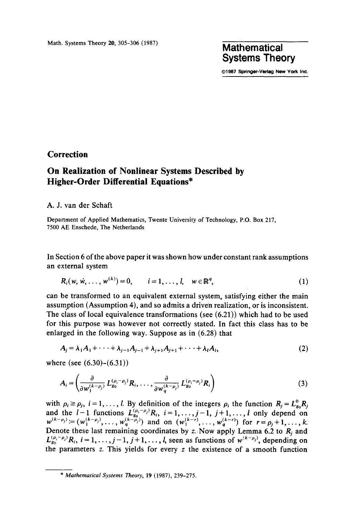## **Systems Theory**

**©1987 Springer-Verlag New** York Inc.

## **Correction**

## **On Realization of Nonlinear Systems Described by Higher-Order Differential Equations\***

## A. J. van der Schaft

Department of Applied Mathematics, Twente University of Technology, P.O. Box 217, 7500 AE Enschede, The Netherlands

In Section 6 of the above paper it was shown how under constant rank assumptions an external system

$$
R_i(w, w, \ldots, w^{(k)}) = 0, \qquad i = 1, \ldots, l, \quad w \in \mathbb{R}^q,
$$
 (1)

can be transformed to an equivalent external system, satisfying either the main assumption (Assumption 4), and so admits a driven realization, or is inconsistent. The class of local equivalence transformations (see (6.21)) which had to be used for this purpose was however not correctly stated. In fact this class has to be enlarged in the following way. Suppose as in (6.28) that

$$
A_{j} = \lambda_{1}A_{1} + \dots + \lambda_{j-1}A_{j-1} + \lambda_{j+1}A_{j+1} + \dots + \lambda_{l}A_{l},
$$
\n(2)

where (see (6.30)-(6.31))

$$
A_i = \left(\frac{\partial}{\partial w_1^{(k-\rho_j)}} L_{g_0}^{(\rho_i-\rho_j)} R_i, \dots, \frac{\partial}{\partial w_q^{(k-\rho_j)}} L_{g_0}^{(\rho_i-\rho_j)} R_i\right)
$$
(3)

with  $\rho_i \ge \rho_j$ ,  $i = 1, \ldots, l$ . By definition of the integers  $\rho_i$  the function  $R_j = L_{g_0}^0 R_j$ and the  $l-1$  functions  $L_{g_0}^{(\mu_i-\mu_j)}R_i$ ,  $i=1,\ldots,j-1$ ,  $j+1,\ldots,l$  only depend on  $w^{(k-p_j)} = (w_1^{(k-p_j)}, \ldots, w_a^{(k-p_j)})$  and on  $(w_1^{(k-r)}, \ldots, w_a^{(k-r)})$  for  $r = \rho_i + 1, \ldots,$ Denote these last remaining coordinates by z. Now apply Lemma 6.2 to  $R_i$  and  $L_{g_0}^{(\rho_i-\rho_j)}R_i$ ,  $i=1,\ldots,j-1$ ,  $j+1,\ldots,l$ , seen as functions of  $w^{(k-\rho_j)}$ , depending on the parameters  $z$ . This yields for every  $z$  the existence of a smooth function

*<sup>\*</sup> Mathematical Systems Theory,* 19 (1987), 239-275.